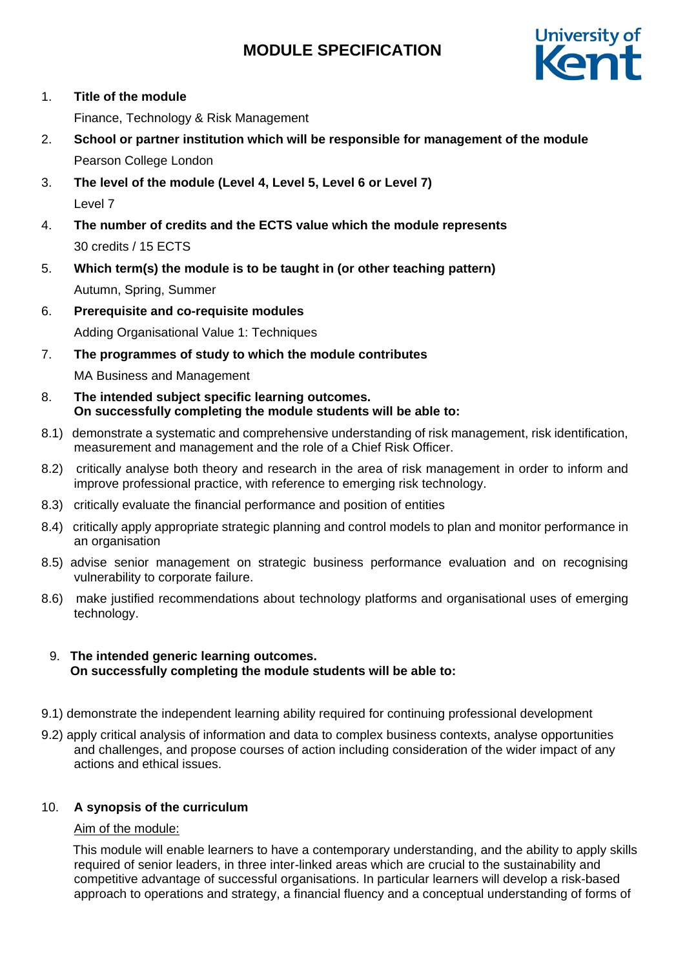

1. **Title of the module**

Finance, Technology & Risk Management

- 2. **School or partner institution which will be responsible for management of the module** Pearson College London
- 3. **The level of the module (Level 4, Level 5, Level 6 or Level 7)** Level 7
- 4. **The number of credits and the ECTS value which the module represents**  30 credits / 15 ECTS
- 5. **Which term(s) the module is to be taught in (or other teaching pattern)** Autumn, Spring, Summer
- 6. **Prerequisite and co-requisite modules** Adding Organisational Value 1: Techniques
- 7. **The programmes of study to which the module contributes** MA Business and Management
- 8. **The intended subject specific learning outcomes. On successfully completing the module students will be able to:**
- 8.1) demonstrate a systematic and comprehensive understanding of risk management, risk identification, measurement and management and the role of a Chief Risk Officer.
- 8.2) critically analyse both theory and research in the area of risk management in order to inform and improve professional practice, with reference to emerging risk technology.
- 8.3) critically evaluate the financial performance and position of entities
- 8.4) critically apply appropriate strategic planning and control models to plan and monitor performance in an organisation
- 8.5) advise senior management on strategic business performance evaluation and on recognising vulnerability to corporate failure.
- 8.6) make justified recommendations about technology platforms and organisational uses of emerging technology.

### 9. **The intended generic learning outcomes. On successfully completing the module students will be able to:**

- 9.1) demonstrate the independent learning ability required for continuing professional development
- 9.2) apply critical analysis of information and data to complex business contexts, analyse opportunities and challenges, and propose courses of action including consideration of the wider impact of any actions and ethical issues.

## 10. **A synopsis of the curriculum**

### Aim of the module:

 This module will enable learners to have a contemporary understanding, and the ability to apply skills required of senior leaders, in three inter-linked areas which are crucial to the sustainability and competitive advantage of successful organisations. In particular learners will develop a risk-based approach to operations and strategy, a financial fluency and a conceptual understanding of forms of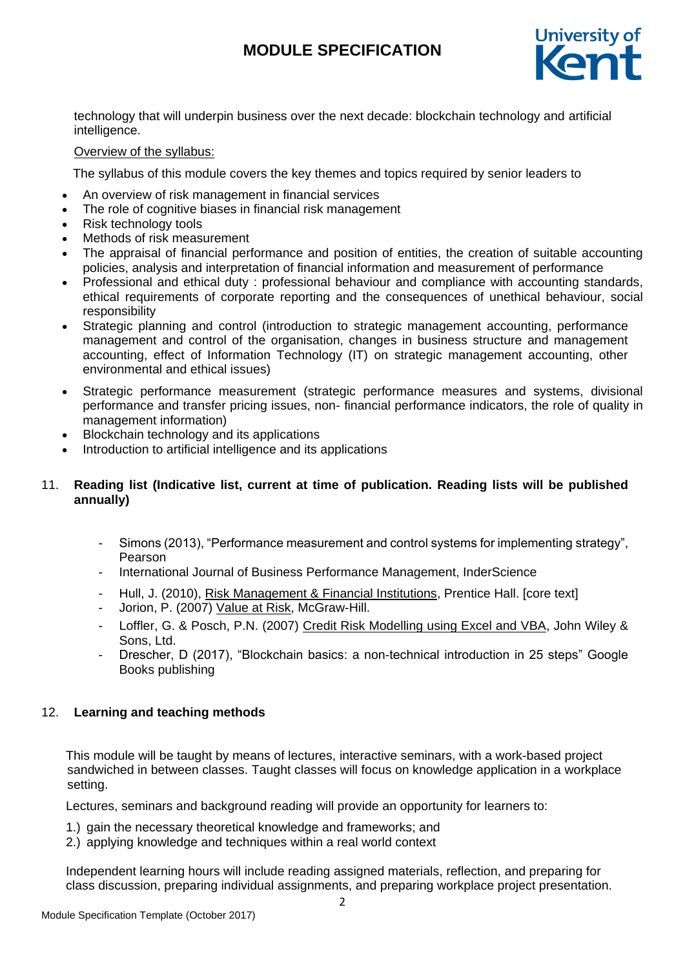

technology that will underpin business over the next decade: blockchain technology and artificial intelligence.

### Overview of the syllabus:

The syllabus of this module covers the key themes and topics required by senior leaders to

- An overview of risk management in financial services
- The role of cognitive biases in financial risk management
- Risk technology tools
- Methods of risk measurement
- The appraisal of financial performance and position of entities, the creation of suitable accounting policies, analysis and interpretation of financial information and measurement of performance
- Professional and ethical duty : professional behaviour and compliance with accounting standards, ethical requirements of corporate reporting and the consequences of unethical behaviour, social responsibility
- Strategic planning and control (introduction to strategic management accounting, performance management and control of the organisation, changes in business structure and management accounting, effect of Information Technology (IT) on strategic management accounting, other environmental and ethical issues)
- Strategic performance measurement (strategic performance measures and systems, divisional performance and transfer pricing issues, non- financial performance indicators, the role of quality in management information)
- Blockchain technology and its applications
- Introduction to artificial intelligence and its applications

### 11. **Reading list (Indicative list, current at time of publication. Reading lists will be published annually)**

- Simons (2013), "Performance measurement and control systems for implementing strategy", Pearson
- International Journal of Business Performance Management, InderScience
- Hull, J. (2010), Risk Management & Financial Institutions, Prentice Hall. [core text]
- Jorion, P. (2007) Value at Risk, McGraw-Hill.
- Loffler, G. & Posch, P.N. (2007) Credit Risk Modelling using Excel and VBA, John Wiley & Sons, Ltd.
- Drescher, D (2017), "Blockchain basics: a non-technical introduction in 25 steps" Google Books publishing

### 12. **Learning and teaching methods**

This module will be taught by means of lectures, interactive seminars, with a work-based project sandwiched in between classes. Taught classes will focus on knowledge application in a workplace setting.

Lectures, seminars and background reading will provide an opportunity for learners to:

- 1.) gain the necessary theoretical knowledge and frameworks; and
- 2.) applying knowledge and techniques within a real world context

Independent learning hours will include reading assigned materials, reflection, and preparing for class discussion, preparing individual assignments, and preparing workplace project presentation.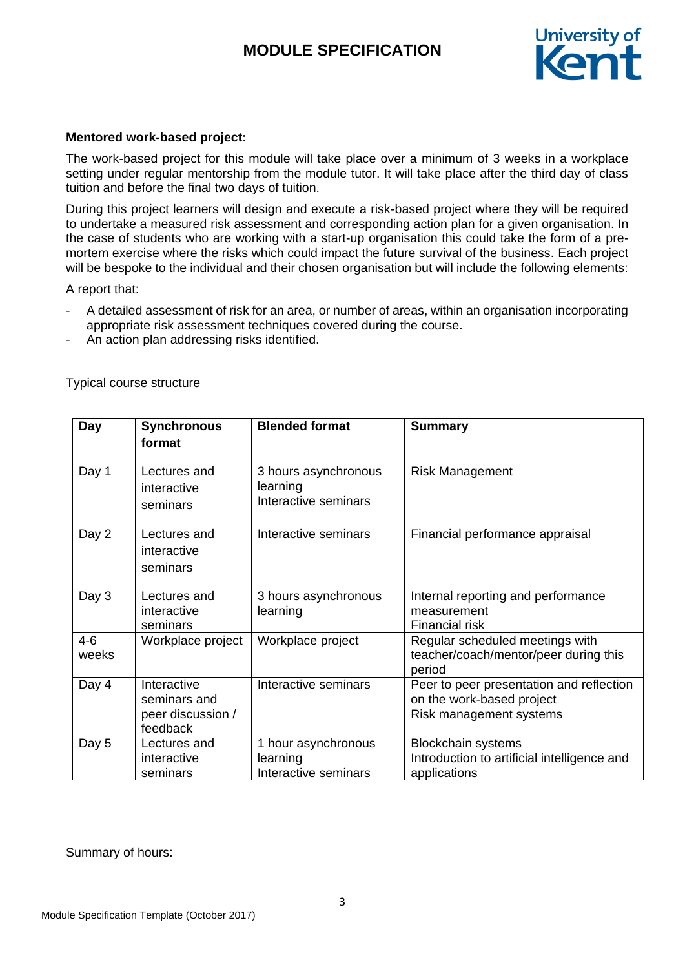

### **Mentored work-based project:**

The work-based project for this module will take place over a minimum of 3 weeks in a workplace setting under regular mentorship from the module tutor. It will take place after the third day of class tuition and before the final two days of tuition.

During this project learners will design and execute a risk-based project where they will be required to undertake a measured risk assessment and corresponding action plan for a given organisation. In the case of students who are working with a start-up organisation this could take the form of a premortem exercise where the risks which could impact the future survival of the business. Each project will be bespoke to the individual and their chosen organisation but will include the following elements:

A report that:

- A detailed assessment of risk for an area, or number of areas, within an organisation incorporating appropriate risk assessment techniques covered during the course.
- An action plan addressing risks identified.

| Day              | <b>Synchronous</b><br>format                                 | <b>Blended format</b>                                    | <b>Summary</b>                                                                                   |
|------------------|--------------------------------------------------------------|----------------------------------------------------------|--------------------------------------------------------------------------------------------------|
| Day 1            | Lectures and<br>interactive<br>seminars                      | 3 hours asynchronous<br>learning<br>Interactive seminars | <b>Risk Management</b>                                                                           |
| Day 2            | Lectures and<br>interactive<br>seminars                      | Interactive seminars                                     | Financial performance appraisal                                                                  |
| Day 3            | Lectures and<br>interactive<br>seminars                      | 3 hours asynchronous<br>learning                         | Internal reporting and performance<br>measurement<br>Financial risk                              |
| $4 - 6$<br>weeks | Workplace project                                            | Workplace project                                        | Regular scheduled meetings with<br>teacher/coach/mentor/peer during this<br>period               |
| Day 4            | Interactive<br>seminars and<br>peer discussion /<br>feedback | Interactive seminars                                     | Peer to peer presentation and reflection<br>on the work-based project<br>Risk management systems |
| Day 5            | Lectures and<br>interactive<br>seminars                      | 1 hour asynchronous<br>learning<br>Interactive seminars  | <b>Blockchain systems</b><br>Introduction to artificial intelligence and<br>applications         |

Typical course structure

Summary of hours: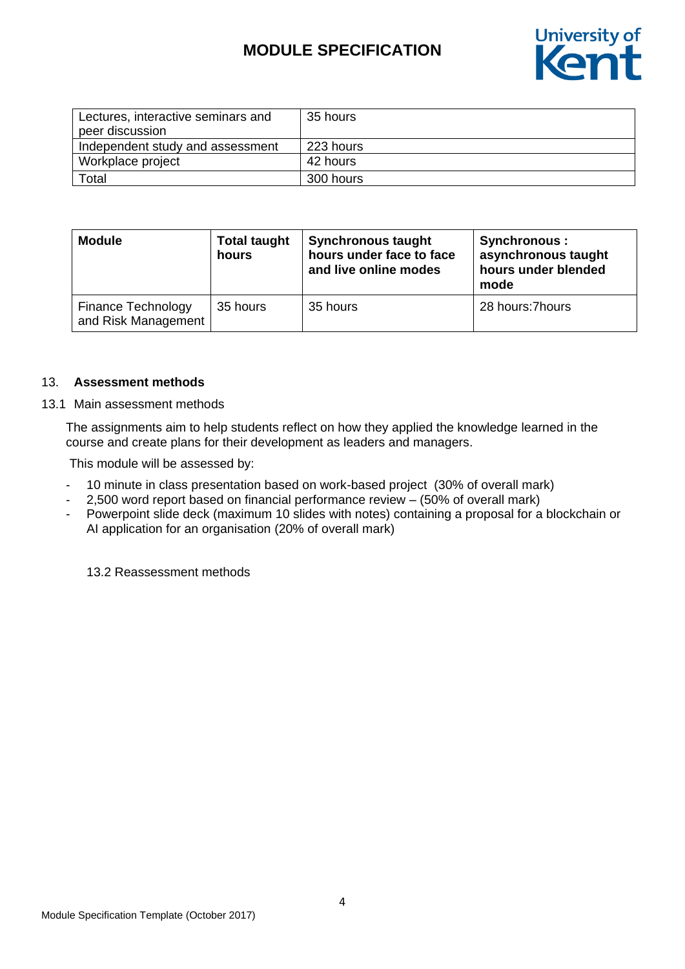

| Lectures, interactive seminars and | 35 hours  |
|------------------------------------|-----------|
| peer discussion                    |           |
| Independent study and assessment   | 223 hours |
| Workplace project                  | 42 hours  |
| Total                              | 300 hours |

| <b>Module</b>                             | <b>Total taught</b><br>hours | <b>Synchronous taught</b><br>hours under face to face<br>and live online modes | Synchronous :<br>asynchronous taught<br>hours under blended<br>mode |
|-------------------------------------------|------------------------------|--------------------------------------------------------------------------------|---------------------------------------------------------------------|
| Finance Technology<br>and Risk Management | 35 hours                     | 35 hours                                                                       | 28 hours: 7 hours                                                   |

#### 13. **Assessment methods**

13.1 Main assessment methods

The assignments aim to help students reflect on how they applied the knowledge learned in the course and create plans for their development as leaders and managers.

This module will be assessed by:

- 10 minute in class presentation based on work-based project (30% of overall mark)
- 2,500 word report based on financial performance review (50% of overall mark)
- Powerpoint slide deck (maximum 10 slides with notes) containing a proposal for a blockchain or AI application for an organisation (20% of overall mark)

13.2 Reassessment methods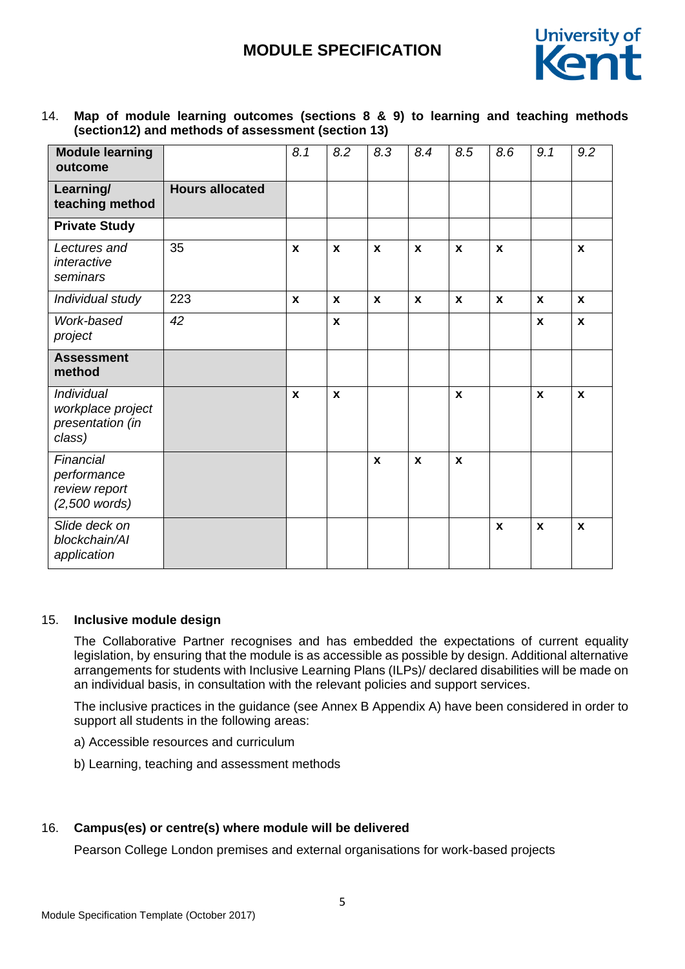

14. **Map of module learning outcomes (sections 8 & 9) to learning and teaching methods (section12) and methods of assessment (section 13)**

| <b>Module learning</b><br>outcome                                           |                        | 8.1          | 8.2          | 8.3          | 8.4          | 8.5                | 8.6          | 9.1          | 9.2                |
|-----------------------------------------------------------------------------|------------------------|--------------|--------------|--------------|--------------|--------------------|--------------|--------------|--------------------|
| Learning/<br>teaching method                                                | <b>Hours allocated</b> |              |              |              |              |                    |              |              |                    |
| <b>Private Study</b>                                                        |                        |              |              |              |              |                    |              |              |                    |
| Lectures and<br>interactive<br>seminars                                     | 35                     | X            | X            | X            | X            | X                  | X            |              | X                  |
| Individual study                                                            | 223                    | $\mathbf{x}$ | X            | $\mathbf{x}$ | $\mathbf{x}$ | $\mathbf x$        | $\mathbf{x}$ | $\mathbf x$  | X                  |
| Work-based<br>project                                                       | 42                     |              | X            |              |              |                    |              | $\mathbf{x}$ | $\pmb{\mathsf{x}}$ |
| <b>Assessment</b><br>method                                                 |                        |              |              |              |              |                    |              |              |                    |
| <i><b>Individual</b></i><br>workplace project<br>presentation (in<br>class) |                        | $\mathbf{x}$ | $\mathbf{x}$ |              |              | $\mathbf{x}$       |              | $\mathbf{x}$ | $\mathbf{x}$       |
| Financial<br>performance<br>review report<br>$(2,500$ words)                |                        |              |              | $\pmb{\chi}$ | $\mathbf{x}$ | $\pmb{\mathsf{x}}$ |              |              |                    |
| Slide deck on<br>blockchain/Al<br>application                               |                        |              |              |              |              |                    | $\mathbf x$  | $\mathbf{x}$ | X                  |

#### 15. **Inclusive module design**

The Collaborative Partner recognises and has embedded the expectations of current equality legislation, by ensuring that the module is as accessible as possible by design. Additional alternative arrangements for students with Inclusive Learning Plans (ILPs)/ declared disabilities will be made on an individual basis, in consultation with the relevant policies and support services.

The inclusive practices in the guidance (see Annex B Appendix A) have been considered in order to support all students in the following areas:

- a) Accessible resources and curriculum
- b) Learning, teaching and assessment methods

### 16. **Campus(es) or centre(s) where module will be delivered**

Pearson College London premises and external organisations for work-based projects